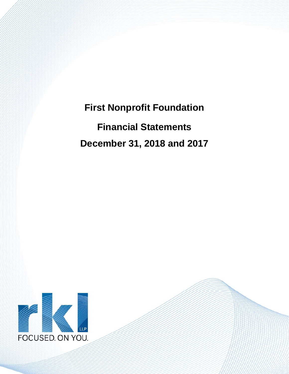**First Nonprofit Foundation Financial Statements December 31, 2018 and 2017** 

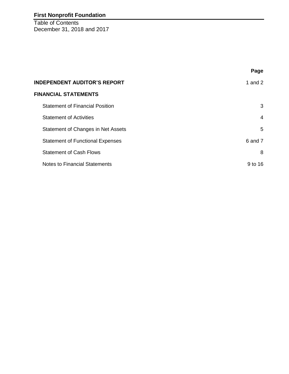Table of Contents December 31, 2018 and 2017

|                                         | Page      |
|-----------------------------------------|-----------|
| <b>INDEPENDENT AUDITOR'S REPORT</b>     | 1 and $2$ |
| <b>FINANCIAL STATEMENTS</b>             |           |
| <b>Statement of Financial Position</b>  | 3         |
| <b>Statement of Activities</b>          | 4         |
| Statement of Changes in Net Assets      | 5         |
| <b>Statement of Functional Expenses</b> | 6 and 7   |
| <b>Statement of Cash Flows</b>          | 8         |
| <b>Notes to Financial Statements</b>    | 9 to 16   |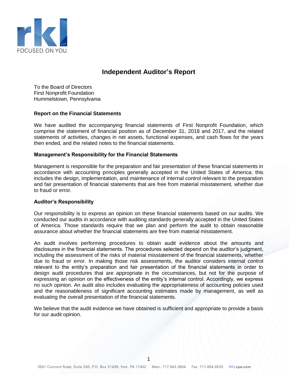

# **Independent Auditor's Report**

To the Board of Directors First Nonprofit Foundation Hummelstown, Pennsylvania

#### **Report on the Financial Statements**

We have audited the accompanying financial statements of First Nonprofit Foundation, which comprise the statement of financial position as of December 31, 2018 and 2017, and the related statements of activities, changes in net assets, functional expenses, and cash flows for the years then ended, and the related notes to the financial statements.

#### **Management's Responsibility for the Financial Statements**

Management is responsible for the preparation and fair presentation of these financial statements in accordance with accounting principles generally accepted in the United States of America; this includes the design, implementation, and maintenance of internal control relevant to the preparation and fair presentation of financial statements that are free from material misstatement, whether due to fraud or error.

#### **Auditor's Responsibility**

Our responsibility is to express an opinion on these financial statements based on our audits. We conducted our audits in accordance with auditing standards generally accepted in the United States of America. Those standards require that we plan and perform the audit to obtain reasonable assurance about whether the financial statements are free from material misstatement.

An audit involves performing procedures to obtain audit evidence about the amounts and disclosures in the financial statements. The procedures selected depend on the auditor's judgment, including the assessment of the risks of material misstatement of the financial statements, whether due to fraud or error. In making those risk assessments, the auditor considers internal control relevant to the entity's preparation and fair presentation of the financial statements in order to design audit procedures that are appropriate in the circumstances, but not for the purpose of expressing an opinion on the effectiveness of the entity's internal control. Accordingly, we express no such opinion. An audit also includes evaluating the appropriateness of accounting policies used and the reasonableness of significant accounting estimates made by management, as well as evaluating the overall presentation of the financial statements.

We believe that the audit evidence we have obtained is sufficient and appropriate to provide a basis for our audit opinion.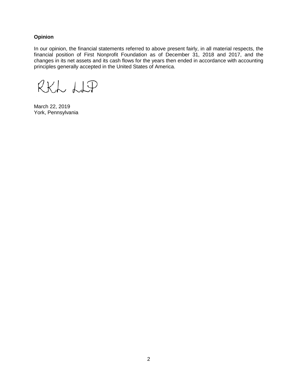**Opinion** 

In our opinion, the financial statements referred to above present fairly, in all material respects, the financial position of First Nonprofit Foundation as of December 31, 2018 and 2017, and the changes in its net assets and its cash flows for the years then ended in accordance with accounting principles generally accepted in the United States of America.

RKL LLP

March 22, 2019 York, Pennsylvania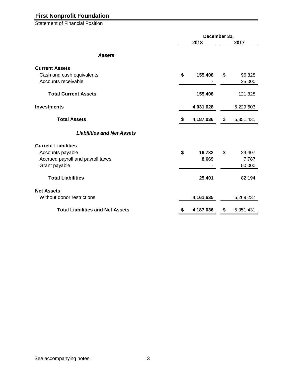Statement of Financial Position

|                                         | December 31,  |     |           |
|-----------------------------------------|---------------|-----|-----------|
|                                         | 2018          |     | 2017      |
| <b>Assets</b>                           |               |     |           |
| <b>Current Assets</b>                   |               |     |           |
| Cash and cash equivalents               | \$<br>155,408 | \$  | 96,828    |
| Accounts receivable                     |               |     | 25,000    |
| <b>Total Current Assets</b>             | 155,408       |     | 121,828   |
| <b>Investments</b>                      | 4,031,628     |     | 5,229,603 |
| <b>Total Assets</b>                     | 4,187,036     | \$. | 5,351,431 |
| <b>Liabilities and Net Assets</b>       |               |     |           |
| <b>Current Liabilities</b>              |               |     |           |
| Accounts payable                        | \$<br>16,732  | \$  | 24,407    |
| Accrued payroll and payroll taxes       | 8,669         |     | 7,787     |
| Grant payable                           |               |     | 50,000    |
| <b>Total Liabilities</b>                | 25,401        |     | 82,194    |
| <b>Net Assets</b>                       |               |     |           |
| Without donor restrictions              | 4,161,635     |     | 5,269,237 |
| <b>Total Liabilities and Net Assets</b> | 4,187,036     | \$  | 5,351,431 |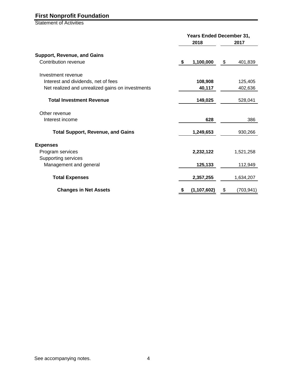Statement of Activities

|                                                  | <b>Years Ended December 31,</b><br>2018 | 2017             |
|--------------------------------------------------|-----------------------------------------|------------------|
| <b>Support, Revenue, and Gains</b>               |                                         |                  |
| Contribution revenue                             | 1,100,000<br>S.                         | 401,839<br>\$    |
| Investment revenue                               |                                         |                  |
| Interest and dividends, net of fees              | 108,908                                 | 125,405          |
| Net realized and unrealized gains on investments | 40,117                                  | 402,636          |
| <b>Total Investment Revenue</b>                  | 149,025                                 | 528,041          |
| Other revenue                                    |                                         |                  |
| Interest income                                  | 628                                     | 386              |
| <b>Total Support, Revenue, and Gains</b>         | 1,249,653                               | 930,266          |
| <b>Expenses</b>                                  |                                         |                  |
| Program services                                 | 2,232,122                               | 1,521,258        |
| Supporting services                              |                                         |                  |
| Management and general                           | 125,133                                 | 112,949          |
| <b>Total Expenses</b>                            | 2,357,255                               | 1,634,207        |
| <b>Changes in Net Assets</b>                     | (1, 107, 602)<br>\$                     | (703, 941)<br>\$ |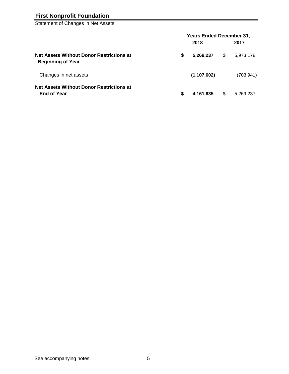Statement of Changes in Net Assets

|                                                                             | <b>Years Ended December 31,</b><br>2018<br>2017 |    |            |  |  |  |  |
|-----------------------------------------------------------------------------|-------------------------------------------------|----|------------|--|--|--|--|
| <b>Net Assets Without Donor Restrictions at</b><br><b>Beginning of Year</b> | \$<br>5,269,237                                 | \$ | 5,973,178  |  |  |  |  |
| Changes in net assets                                                       | (1, 107, 602)                                   |    | (703, 941) |  |  |  |  |
| <b>Net Assets Without Donor Restrictions at</b><br><b>End of Year</b>       | 4,161,635                                       |    | 5,269,237  |  |  |  |  |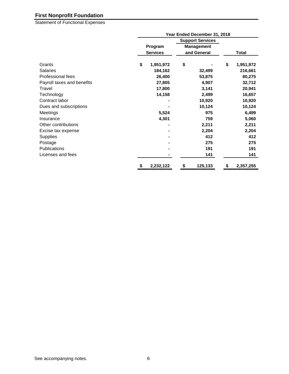Statement of Functional Expenses

|                            | Year Ended December 31, 2018 |                 |    |                         |    |           |  |  |  |  |
|----------------------------|------------------------------|-----------------|----|-------------------------|----|-----------|--|--|--|--|
|                            |                              |                 |    | <b>Support Services</b> |    |           |  |  |  |  |
|                            |                              | Program         |    | <b>Management</b>       |    |           |  |  |  |  |
|                            |                              | <b>Services</b> |    | and General             |    | Total     |  |  |  |  |
| Grants                     | \$                           | 1,951,972       | \$ |                         | \$ | 1,951,972 |  |  |  |  |
| <b>Salaries</b>            |                              | 184,162         |    | 32,499                  |    | 216,661   |  |  |  |  |
| Professional fees          |                              | 26,400          |    | 53,875                  |    | 80,275    |  |  |  |  |
| Payroll taxes and benefits |                              | 27,805          |    | 4,907                   |    | 32,712    |  |  |  |  |
| Travel                     |                              | 17,800          |    | 3,141                   |    | 20,941    |  |  |  |  |
| Technology                 |                              | 14,158          |    | 2,499                   |    | 16,657    |  |  |  |  |
| Contract labor             |                              |                 |    | 10,920                  |    | 10,920    |  |  |  |  |
| Dues and subscriptions     |                              |                 |    | 10,124                  |    | 10,124    |  |  |  |  |
| Meetings                   |                              | 5,524           |    | 975                     |    | 6,499     |  |  |  |  |
| Insurance                  |                              | 4,301           |    | 759                     |    | 5,060     |  |  |  |  |
| Other contributions        |                              |                 |    | 2,211                   |    | 2,211     |  |  |  |  |
| Excise tax expense         |                              |                 |    | 2,204                   |    | 2,204     |  |  |  |  |
| Supplies                   |                              |                 |    | 412                     |    | 412       |  |  |  |  |
| Postage                    |                              |                 |    | 275                     |    | 275       |  |  |  |  |
| Publications               |                              |                 |    | 191                     |    | 191       |  |  |  |  |
| Licenses and fees          |                              |                 |    | 141                     |    | 141       |  |  |  |  |
|                            | \$                           | 2,232,122       | \$ | 125,133                 | \$ | 2,357,255 |  |  |  |  |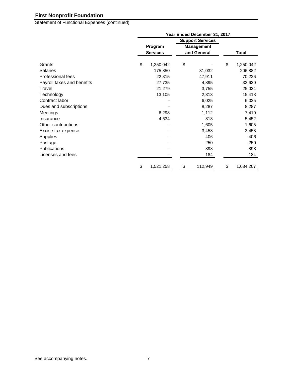Statement of Functional Expenses (continued)

|                            |    | Year Ended December 31, 2017 |    |                         |    |           |  |  |  |
|----------------------------|----|------------------------------|----|-------------------------|----|-----------|--|--|--|
|                            |    |                              |    | <b>Support Services</b> |    |           |  |  |  |
|                            |    | Program                      |    | <b>Management</b>       |    |           |  |  |  |
|                            |    | <b>Services</b>              |    | and General             |    | Total     |  |  |  |
| Grants                     | \$ | 1,250,042                    | \$ |                         | \$ | 1,250,042 |  |  |  |
| <b>Salaries</b>            |    | 175,850                      |    | 31,032                  |    | 206,882   |  |  |  |
| Professional fees          |    | 22,315                       |    | 47,911                  |    | 70,226    |  |  |  |
| Payroll taxes and benefits |    | 27,735                       |    | 4,895                   |    | 32,630    |  |  |  |
| Travel                     |    | 21,279                       |    | 3,755                   |    | 25,034    |  |  |  |
| Technology                 |    | 13,105                       |    | 2,313                   |    | 15,418    |  |  |  |
| Contract labor             |    |                              |    | 6,025                   |    | 6,025     |  |  |  |
| Dues and subscriptions     |    |                              |    | 8,287                   |    | 8,287     |  |  |  |
| Meetings                   |    | 6,298                        |    | 1,112                   |    | 7,410     |  |  |  |
| Insurance                  |    | 4,634                        |    | 818                     |    | 5,452     |  |  |  |
| Other contributions        |    |                              |    | 1,605                   |    | 1,605     |  |  |  |
| Excise tax expense         |    |                              |    | 3,458                   |    | 3,458     |  |  |  |
| Supplies                   |    |                              |    | 406                     |    | 406       |  |  |  |
| Postage                    |    |                              |    | 250                     |    | 250       |  |  |  |
| <b>Publications</b>        |    |                              |    | 898                     |    | 898       |  |  |  |
| Licenses and fees          |    |                              |    | 184                     |    | 184       |  |  |  |
|                            | S  | 1,521,258                    | \$ | 112,949                 | \$ | 1,634,207 |  |  |  |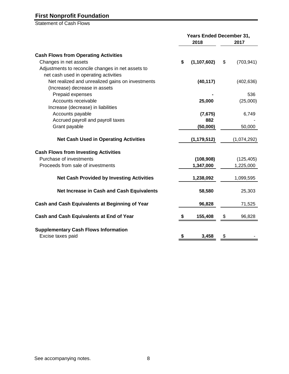Statement of Cash Flows

|                                                   | <b>Years Ended December 31,</b> |               |    |             |  |  |
|---------------------------------------------------|---------------------------------|---------------|----|-------------|--|--|
|                                                   |                                 | 2018          |    | 2017        |  |  |
| <b>Cash Flows from Operating Activities</b>       |                                 |               |    |             |  |  |
| Changes in net assets                             | \$                              | (1, 107, 602) | \$ | (703, 941)  |  |  |
| Adjustments to reconcile changes in net assets to |                                 |               |    |             |  |  |
| net cash used in operating activities             |                                 |               |    |             |  |  |
| Net realized and unrealized gains on investments  |                                 | (40, 117)     |    | (402, 636)  |  |  |
| (Increase) decrease in assets                     |                                 |               |    |             |  |  |
| Prepaid expenses                                  |                                 |               |    | 536         |  |  |
| Accounts receivable                               |                                 | 25,000        |    | (25,000)    |  |  |
| Increase (decrease) in liabilities                |                                 |               |    |             |  |  |
| Accounts payable                                  |                                 | (7,675)       |    | 6,749       |  |  |
| Accrued payroll and payroll taxes                 |                                 | 882           |    |             |  |  |
| Grant payable                                     |                                 | (50,000)      |    | 50,000      |  |  |
|                                                   |                                 |               |    |             |  |  |
| <b>Net Cash Used in Operating Activities</b>      |                                 | (1, 179, 512) |    | (1,074,292) |  |  |
| <b>Cash Flows from Investing Activities</b>       |                                 |               |    |             |  |  |
| Purchase of investments                           |                                 | (108,908)     |    | (125, 405)  |  |  |
| Proceeds from sale of investments                 |                                 | 1,347,000     |    | 1,225,000   |  |  |
| <b>Net Cash Provided by Investing Activities</b>  |                                 | 1,238,092     |    | 1,099,595   |  |  |
|                                                   |                                 |               |    |             |  |  |
| Net Increase in Cash and Cash Equivalents         |                                 | 58,580        |    | 25,303      |  |  |
| Cash and Cash Equivalents at Beginning of Year    |                                 | 96,828        |    | 71,525      |  |  |
| <b>Cash and Cash Equivalents at End of Year</b>   | S                               | 155,408       | \$ | 96,828      |  |  |
| <b>Supplementary Cash Flows Information</b>       |                                 |               |    |             |  |  |
| Excise taxes paid                                 | \$                              | 3,458         | \$ |             |  |  |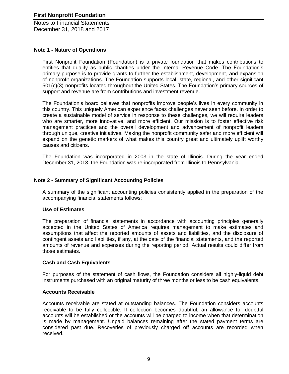### **Note 1 - Nature of Operations**

First Nonprofit Foundation (Foundation) is a private foundation that makes contributions to entities that qualify as public charities under the Internal Revenue Code. The Foundation's primary purpose is to provide grants to further the establishment, development, and expansion of nonprofit organizations. The Foundation supports local, state, regional, and other significant 501(c)(3) nonprofits located throughout the United States. The Foundation's primary sources of support and revenue are from contributions and investment revenue.

The Foundation's board believes that nonprofits improve people's lives in every community in this country. This uniquely American experience faces challenges never seen before. In order to create a sustainable model of service in response to these challenges, we will require leaders who are smarter, more innovative, and more efficient. Our mission is to foster effective risk management practices and the overall development and advancement of nonprofit leaders through unique, creative initiatives. Making the nonprofit community safer and more efficient will expand on the genetic markers of what makes this country great and ultimately uplift worthy causes and citizens.

The Foundation was incorporated in 2003 in the state of Illinois. During the year ended December 31, 2013, the Foundation was re-incorporated from Illinois to Pennsylvania.

# **Note 2 - Summary of Significant Accounting Policies**

A summary of the significant accounting policies consistently applied in the preparation of the accompanying financial statements follows:

#### **Use of Estimates**

The preparation of financial statements in accordance with accounting principles generally accepted in the United States of America requires management to make estimates and assumptions that affect the reported amounts of assets and liabilities, and the disclosure of contingent assets and liabilities, if any, at the date of the financial statements, and the reported amounts of revenue and expenses during the reporting period. Actual results could differ from those estimates.

#### **Cash and Cash Equivalents**

For purposes of the statement of cash flows, the Foundation considers all highly-liquid debt instruments purchased with an original maturity of three months or less to be cash equivalents.

#### **Accounts Receivable**

Accounts receivable are stated at outstanding balances. The Foundation considers accounts receivable to be fully collectible. If collection becomes doubtful, an allowance for doubtful accounts will be established or the accounts will be charged to income when that determination is made by management. Unpaid balances remaining after the stated payment terms are considered past due. Recoveries of previously charged off accounts are recorded when received.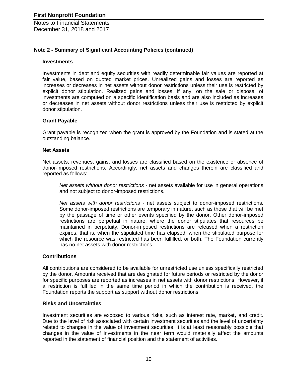# **Note 2 - Summary of Significant Accounting Policies (continued)**

#### **Investments**

Investments in debt and equity securities with readily determinable fair values are reported at fair value, based on quoted market prices. Unrealized gains and losses are reported as increases or decreases in net assets without donor restrictions unless their use is restricted by explicit donor stipulation. Realized gains and losses, if any, on the sale or disposal of investments are computed on a specific identification basis and are also included as increases or decreases in net assets without donor restrictions unless their use is restricted by explicit donor stipulation.

#### **Grant Payable**

Grant payable is recognized when the grant is approved by the Foundation and is stated at the outstanding balance.

#### **Net Assets**

Net assets, revenues, gains, and losses are classified based on the existence or absence of donor-imposed restrictions. Accordingly, net assets and changes therein are classified and reported as follows:

*Net assets without donor restrictions* - net assets available for use in general operations and not subject to donor-imposed restrictions.

*Net assets with donor restrictions -* net assets subject to donor-imposed restrictions. Some donor-imposed restrictions are temporary in nature, such as those that will be met by the passage of time or other events specified by the donor. Other donor-imposed restrictions are perpetual in nature, where the donor stipulates that resources be maintained in perpetuity. Donor-imposed restrictions are released when a restriction expires, that is, when the stipulated time has elapsed, when the stipulated purpose for which the resource was restricted has been fulfilled, or both. The Foundation currently has no net assets with donor restrictions.

# **Contributions**

All contributions are considered to be available for unrestricted use unless specifically restricted by the donor. Amounts received that are designated for future periods or restricted by the donor for specific purposes are reported as increases in net assets with donor restrictions. However, if a restriction is fulfilled in the same time period in which the contribution is received, the Foundation reports the support as support without donor restrictions.

#### **Risks and Uncertainties**

Investment securities are exposed to various risks, such as interest rate, market, and credit. Due to the level of risk associated with certain investment securities and the level of uncertainty related to changes in the value of investment securities, it is at least reasonably possible that changes in the value of investments in the near term would materially affect the amounts reported in the statement of financial position and the statement of activities.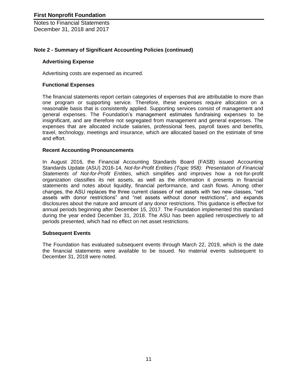# **Note 2 - Summary of Significant Accounting Policies (continued)**

# **Advertising Expense**

Advertising costs are expensed as incurred.

# **Functional Expenses**

The financial statements report certain categories of expenses that are attributable to more than one program or supporting service. Therefore, these expenses require allocation on a reasonable basis that is consistently applied. Supporting services consist of management and general expenses. The Foundation's management estimates fundraising expenses to be insignificant, and are therefore not segregated from management and general expenses. The expenses that are allocated include salaries, professional fees, payroll taxes and benefits, travel, technology, meetings and insurance, which are allocated based on the estimate of time and effort.

# **Recent Accounting Pronouncements**

In August 2016, the Financial Accounting Standards Board (FASB) issued Accounting Standards Update (ASU) 2016-14, *Not-for-Profit Entities (Topic 958): Presentation of Financial Statements of Not-for-Profit Entities*, which simplifies and improves how a not-for-profit organization classifies its net assets, as well as the information it presents in financial statements and notes about liquidity, financial performance, and cash flows. Among other changes, the ASU replaces the three current classes of net assets with two new classes, "net assets with donor restrictions" and "net assets without donor restrictions", and expands disclosures about the nature and amount of any donor restrictions. This guidance is effective for annual periods beginning after December 15, 2017. The Foundation implemented this standard during the year ended December 31, 2018. The ASU has been applied retrospectively to all periods presented, which had no effect on net asset restrictions.

# **Subsequent Events**

The Foundation has evaluated subsequent events through March 22, 2019, which is the date the financial statements were available to be issued. No material events subsequent to December 31, 2018 were noted.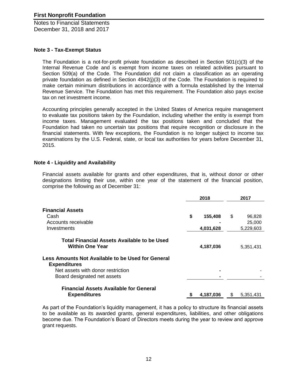### **Note 3 - Tax-Exempt Status**

The Foundation is a not-for-profit private foundation as described in Section  $501(c)(3)$  of the Internal Revenue Code and is exempt from income taxes on related activities pursuant to Section 509(a) of the Code. The Foundation did not claim a classification as an operating private foundation as defined in Section 4942(j)(3) of the Code. The Foundation is required to make certain minimum distributions in accordance with a formula established by the Internal Revenue Service. The Foundation has met this requirement. The Foundation also pays excise tax on net investment income.

Accounting principles generally accepted in the United States of America require management to evaluate tax positions taken by the Foundation, including whether the entity is exempt from income taxes. Management evaluated the tax positions taken and concluded that the Foundation had taken no uncertain tax positions that require recognition or disclosure in the financial statements. With few exceptions, the Foundation is no longer subject to income tax examinations by the U.S. Federal, state, or local tax authorities for years before December 31, 2015.

# **Note 4 - Liquidity and Availability**

Financial assets available for grants and other expenditures, that is, without donor or other designations limiting their use, within one year of the statement of the financial position, comprise the following as of December 31:

|                                                                          | 2018            | 2017            |
|--------------------------------------------------------------------------|-----------------|-----------------|
| <b>Financial Assets</b>                                                  |                 |                 |
| Cash                                                                     | \$<br>155,408   | \$<br>96,828    |
| Accounts receivable                                                      |                 | 25,000          |
| Investments                                                              | 4,031,628       | 5,229,603       |
| Total Financial Assets Available to be Used<br><b>Within One Year</b>    | 4,187,036       | 5,351,431       |
| Less Amounts Not Available to be Used for General<br><b>Expenditures</b> |                 |                 |
| Net assets with donor restriction                                        |                 |                 |
| Board designated net assets                                              |                 |                 |
| <b>Financial Assets Available for General</b>                            |                 |                 |
| <b>Expenditures</b>                                                      | \$<br>4,187,036 | \$<br>5,351,431 |

As part of the Foundation's liquidity management, it has a policy to structure its financial assets to be available as its awarded grants, general expenditures, liabilities, and other obligations become due. The Foundation's Board of Directors meets during the year to review and approve grant requests.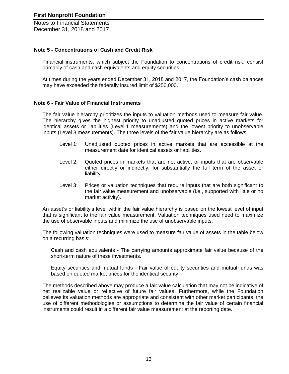# **Note 5 - Concentrations of Cash and Credit Risk**

Financial instruments, which subject the Foundation to concentrations of credit risk, consist primarily of cash and cash equivalents and equity securities.

At times during the years ended December 31, 2018 and 2017, the Foundation's cash balances may have exceeded the federally insured limit of \$250,000.

#### **Note 6 - Fair Value of Financial Instruments**

The fair value hierarchy prioritizes the inputs to valuation methods used to measure fair value. The hierarchy gives the highest priority to unadjusted quoted prices in active markets for identical assets or liabilities (Level 1 measurements) and the lowest priority to unobservable inputs (Level 3 measurements). The three levels of the fair value hierarchy are as follows:

- Level 1: Unadjusted quoted prices in active markets that are accessible at the measurement date for identical assets or liabilities.
- Level 2: Quoted prices in markets that are not active, or inputs that are observable either directly or indirectly, for substantially the full term of the asset or liability.
- Level 3: Prices or valuation techniques that require inputs that are both significant to the fair value measurement and unobservable (i.e., supported with little or no market activity).

An asset's or liability's level within the fair value hierarchy is based on the lowest level of input that is significant to the fair value measurement. Valuation techniques used need to maximize the use of observable inputs and minimize the use of unobservable inputs.

The following valuation techniques were used to measure fair value of assets in the table below on a recurring basis:

Cash and cash equivalents - The carrying amounts approximate fair value because of the short-term nature of these investments.

Equity securities and mutual funds - Fair value of equity securities and mutual funds was based on quoted market prices for the identical security.

The methods described above may produce a fair value calculation that may not be indicative of net realizable value or reflective of future fair values. Furthermore, while the Foundation believes its valuation methods are appropriate and consistent with other market participants, the use of different methodologies or assumptions to determine the fair value of certain financial instruments could result in a different fair value measurement at the reporting date.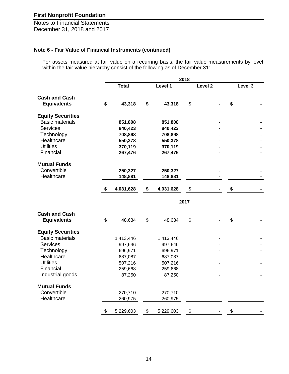Notes to Financial Statements December 31, 2018 and 2017

# **Note 6 - Fair Value of Financial Instruments (continued)**

For assets measured at fair value on a recurring basis, the fair value measurements by level within the fair value hierarchy consist of the following as of December 31:

|                                            |                 |    |           | 2018 |                    |         |  |  |
|--------------------------------------------|-----------------|----|-----------|------|--------------------|---------|--|--|
|                                            | <b>Total</b>    |    | Level 1   |      | Level <sub>2</sub> | Level 3 |  |  |
| <b>Cash and Cash</b><br><b>Equivalents</b> | \$<br>43,318    | \$ | 43,318    | \$   |                    | \$      |  |  |
| <b>Equity Securities</b>                   |                 |    |           |      |                    |         |  |  |
| <b>Basic materials</b>                     | 851,808         |    | 851,808   |      |                    |         |  |  |
| <b>Services</b>                            | 840,423         |    | 840,423   |      |                    |         |  |  |
| Technology                                 | 708,898         |    | 708,898   |      |                    |         |  |  |
| Healthcare                                 | 550,378         |    | 550,378   |      |                    |         |  |  |
| <b>Utilities</b>                           | 370,119         |    | 370,119   |      |                    |         |  |  |
| Financial                                  | 267,476         |    | 267,476   |      |                    |         |  |  |
| <b>Mutual Funds</b>                        |                 |    |           |      |                    |         |  |  |
| Convertible                                | 250,327         |    | 250,327   |      |                    |         |  |  |
| Healthcare                                 | 148,881         |    | 148,881   |      |                    |         |  |  |
|                                            | \$<br>4,031,628 | \$ | 4,031,628 | \$   |                    | \$      |  |  |
|                                            |                 |    |           | 2017 |                    |         |  |  |
| <b>Cash and Cash</b>                       |                 |    |           |      |                    |         |  |  |
| <b>Equivalents</b>                         | \$<br>48,634    | \$ | 48,634    | \$   |                    | \$      |  |  |
| <b>Equity Securities</b>                   |                 |    |           |      |                    |         |  |  |
| <b>Basic materials</b>                     | 1,413,446       |    | 1,413,446 |      |                    |         |  |  |
| <b>Services</b>                            | 997,646         |    | 997,646   |      |                    |         |  |  |
| Technology                                 | 696,971         |    | 696,971   |      |                    |         |  |  |
| Healthcare                                 | 687,087         |    | 687,087   |      |                    |         |  |  |
| <b>Utilities</b>                           | 507,216         |    | 507,216   |      |                    |         |  |  |
| Financial                                  | 259,668         |    | 259,668   |      |                    |         |  |  |
| Industrial goods                           | 87,250          |    | 87,250    |      |                    |         |  |  |
| <b>Mutual Funds</b>                        |                 |    |           |      |                    |         |  |  |
| Convertible                                | 270,710         |    | 270,710   |      |                    |         |  |  |
| Healthcare                                 | 260,975         |    | 260,975   |      |                    |         |  |  |
|                                            | \$<br>5,229,603 | \$ | 5,229,603 | \$   |                    | \$      |  |  |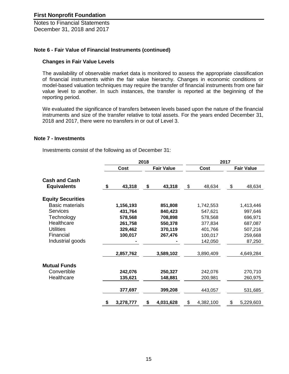# **Note 6 - Fair Value of Financial Instruments (continued)**

### **Changes in Fair Value Levels**

The availability of observable market data is monitored to assess the appropriate classification of financial instruments within the fair value hierarchy. Changes in economic conditions or model-based valuation techniques may require the transfer of financial instruments from one fair value level to another. In such instances, the transfer is reported at the beginning of the reporting period.

We evaluated the significance of transfers between levels based upon the nature of the financial instruments and size of the transfer relative to total assets. For the years ended December 31, 2018 and 2017, there were no transfers in or out of Level 3.

#### **Note 7 - Investments**

Investments consist of the following as of December 31:

|                          |    |           | 2018 |                   |                 | 2017              |           |  |  |
|--------------------------|----|-----------|------|-------------------|-----------------|-------------------|-----------|--|--|
|                          |    | Cost      |      | <b>Fair Value</b> | Cost            | <b>Fair Value</b> |           |  |  |
| <b>Cash and Cash</b>     |    |           |      |                   |                 |                   |           |  |  |
| <b>Equivalents</b>       | \$ | 43,318    | \$   | 43,318            | \$<br>48,634    | \$                | 48,634    |  |  |
| <b>Equity Securities</b> |    |           |      |                   |                 |                   |           |  |  |
| <b>Basic materials</b>   |    | 1,156,193 |      | 851,808           | 1,742,553       |                   | 1,413,446 |  |  |
| <b>Services</b>          |    | 431,764   |      | 840,423           | 547,621         |                   | 997,646   |  |  |
| Technology               |    | 578,568   |      | 708,898           | 578,568         |                   | 696,971   |  |  |
| Healthcare               |    | 261,758   |      | 550,378           | 377,834         |                   | 687,087   |  |  |
| <b>Utilities</b>         |    | 329,462   |      | 370,119           | 401,766         |                   | 507,216   |  |  |
| Financial                |    | 100,017   |      | 267,476           | 100,017         |                   | 259,668   |  |  |
| Industrial goods         |    |           |      |                   | 142,050         |                   | 87,250    |  |  |
|                          |    | 2,857,762 |      | 3,589,102         | 3,890,409       |                   | 4,649,284 |  |  |
| <b>Mutual Funds</b>      |    |           |      |                   |                 |                   |           |  |  |
| Convertible              |    | 242,076   |      | 250,327           | 242,076         |                   | 270,710   |  |  |
| Healthcare               |    | 135,621   |      | 148,881           | 200,981         |                   | 260,975   |  |  |
|                          |    | 377,697   |      | 399,208           | 443,057         |                   | 531,685   |  |  |
|                          | \$ | 3,278,777 | \$   | 4,031,628         | \$<br>4,382,100 | \$                | 5,229,603 |  |  |